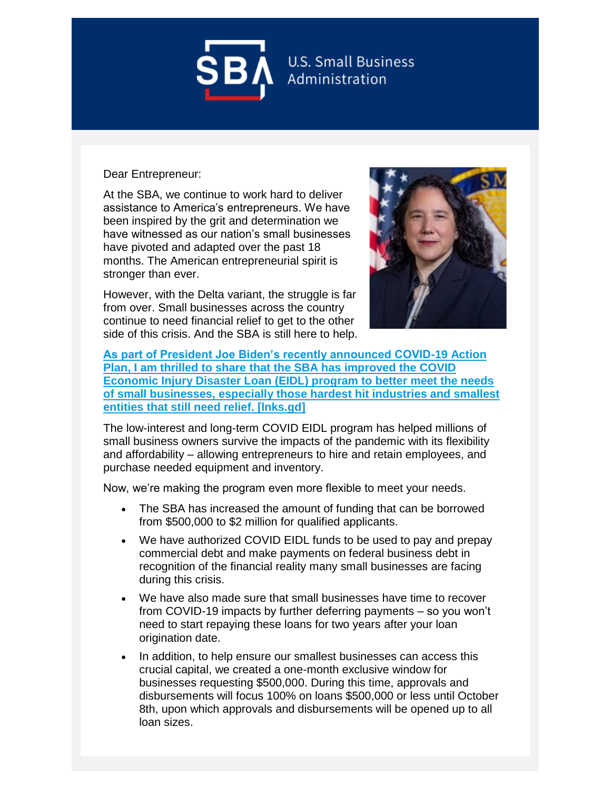

## Dear Entrepreneur:

At the SBA, we continue to work hard to deliver assistance to America's entrepreneurs. We have been inspired by the grit and determination we have witnessed as our nation's small businesses have pivoted and adapted over the past 18 months. The American entrepreneurial spirit is stronger than ever.

However, with the Delta variant, the struggle is far from over. Small businesses across the country continue to need financial relief to get to the other side of this crisis. And the SBA is still here to help.



**[As part of President Joe Biden's recently announced COVID-19 Action](https://urldefense.com/v3/__https:/lnks.gd/l/eyJhbGciOiJIUzI1NiJ9.eyJidWxsZXRpbl9saW5rX2lkIjoxMDAsInVyaSI6ImJwMjpjbGljayIsImJ1bGxldGluX2lkIjoiMjAyMTA5MjEuNDYyNzEyOTEiLCJ1cmwiOiJodHRwczovL3d3dy5zYmEuZ292L2FydGljbGUvMjAyMS9zZXAvMDkvc2JhLWFkbWluaXN0cmF0b3ItZ3V6bWFuLWVuaGFuY2VzLWNvdmlkLWVjb25vbWljLWluanVyeS1kaXNhc3Rlci1sb2FuLXByb2dyYW0tYWlkLXNtYWxsLWJ1c2luZXNzZXM_dXRtX21lZGl1bT1lbWFpbCZ1dG1fc291cmNlPWdvdmRlbGl2ZXJ5In0.Eywb8Iy6XfcDg6XtC-2887YyodRXUYLUcpFR5LF_K68/s/1128218625/br/112693288533-l__;!!COIdcu9TKnUF_QTdrw!IgdrcnPMgIJF9z2q7Ss1PrLITz-mTj6FHYi4LIHIjg6G6mUtPd17lyB6vvhyBn0M$)  Plan, I am thrilled to share [that the SBA has improved the COVID](https://urldefense.com/v3/__https:/lnks.gd/l/eyJhbGciOiJIUzI1NiJ9.eyJidWxsZXRpbl9saW5rX2lkIjoxMDAsInVyaSI6ImJwMjpjbGljayIsImJ1bGxldGluX2lkIjoiMjAyMTA5MjEuNDYyNzEyOTEiLCJ1cmwiOiJodHRwczovL3d3dy5zYmEuZ292L2FydGljbGUvMjAyMS9zZXAvMDkvc2JhLWFkbWluaXN0cmF0b3ItZ3V6bWFuLWVuaGFuY2VzLWNvdmlkLWVjb25vbWljLWluanVyeS1kaXNhc3Rlci1sb2FuLXByb2dyYW0tYWlkLXNtYWxsLWJ1c2luZXNzZXM_dXRtX21lZGl1bT1lbWFpbCZ1dG1fc291cmNlPWdvdmRlbGl2ZXJ5In0.Eywb8Iy6XfcDg6XtC-2887YyodRXUYLUcpFR5LF_K68/s/1128218625/br/112693288533-l__;!!COIdcu9TKnUF_QTdrw!IgdrcnPMgIJF9z2q7Ss1PrLITz-mTj6FHYi4LIHIjg6G6mUtPd17lyB6vvhyBn0M$)  [Economic Injury Disaster Loan \(EIDL\) program to better meet the needs](https://urldefense.com/v3/__https:/lnks.gd/l/eyJhbGciOiJIUzI1NiJ9.eyJidWxsZXRpbl9saW5rX2lkIjoxMDAsInVyaSI6ImJwMjpjbGljayIsImJ1bGxldGluX2lkIjoiMjAyMTA5MjEuNDYyNzEyOTEiLCJ1cmwiOiJodHRwczovL3d3dy5zYmEuZ292L2FydGljbGUvMjAyMS9zZXAvMDkvc2JhLWFkbWluaXN0cmF0b3ItZ3V6bWFuLWVuaGFuY2VzLWNvdmlkLWVjb25vbWljLWluanVyeS1kaXNhc3Rlci1sb2FuLXByb2dyYW0tYWlkLXNtYWxsLWJ1c2luZXNzZXM_dXRtX21lZGl1bT1lbWFpbCZ1dG1fc291cmNlPWdvdmRlbGl2ZXJ5In0.Eywb8Iy6XfcDg6XtC-2887YyodRXUYLUcpFR5LF_K68/s/1128218625/br/112693288533-l__;!!COIdcu9TKnUF_QTdrw!IgdrcnPMgIJF9z2q7Ss1PrLITz-mTj6FHYi4LIHIjg6G6mUtPd17lyB6vvhyBn0M$)  [of small businesses, especially those hardest hit industries and smallest](https://urldefense.com/v3/__https:/lnks.gd/l/eyJhbGciOiJIUzI1NiJ9.eyJidWxsZXRpbl9saW5rX2lkIjoxMDAsInVyaSI6ImJwMjpjbGljayIsImJ1bGxldGluX2lkIjoiMjAyMTA5MjEuNDYyNzEyOTEiLCJ1cmwiOiJodHRwczovL3d3dy5zYmEuZ292L2FydGljbGUvMjAyMS9zZXAvMDkvc2JhLWFkbWluaXN0cmF0b3ItZ3V6bWFuLWVuaGFuY2VzLWNvdmlkLWVjb25vbWljLWluanVyeS1kaXNhc3Rlci1sb2FuLXByb2dyYW0tYWlkLXNtYWxsLWJ1c2luZXNzZXM_dXRtX21lZGl1bT1lbWFpbCZ1dG1fc291cmNlPWdvdmRlbGl2ZXJ5In0.Eywb8Iy6XfcDg6XtC-2887YyodRXUYLUcpFR5LF_K68/s/1128218625/br/112693288533-l__;!!COIdcu9TKnUF_QTdrw!IgdrcnPMgIJF9z2q7Ss1PrLITz-mTj6FHYi4LIHIjg6G6mUtPd17lyB6vvhyBn0M$)  [entities that still need relief. \[lnks.gd\]](https://urldefense.com/v3/__https:/lnks.gd/l/eyJhbGciOiJIUzI1NiJ9.eyJidWxsZXRpbl9saW5rX2lkIjoxMDAsInVyaSI6ImJwMjpjbGljayIsImJ1bGxldGluX2lkIjoiMjAyMTA5MjEuNDYyNzEyOTEiLCJ1cmwiOiJodHRwczovL3d3dy5zYmEuZ292L2FydGljbGUvMjAyMS9zZXAvMDkvc2JhLWFkbWluaXN0cmF0b3ItZ3V6bWFuLWVuaGFuY2VzLWNvdmlkLWVjb25vbWljLWluanVyeS1kaXNhc3Rlci1sb2FuLXByb2dyYW0tYWlkLXNtYWxsLWJ1c2luZXNzZXM_dXRtX21lZGl1bT1lbWFpbCZ1dG1fc291cmNlPWdvdmRlbGl2ZXJ5In0.Eywb8Iy6XfcDg6XtC-2887YyodRXUYLUcpFR5LF_K68/s/1128218625/br/112693288533-l__;!!COIdcu9TKnUF_QTdrw!IgdrcnPMgIJF9z2q7Ss1PrLITz-mTj6FHYi4LIHIjg6G6mUtPd17lyB6vvhyBn0M$)**

The low-interest and long-term COVID EIDL program has helped millions of small business owners survive the impacts of the pandemic with its flexibility and affordability – allowing entrepreneurs to hire and retain employees, and purchase needed equipment and inventory.

Now, we're making the program even more flexible to meet your needs.

- The SBA has increased the amount of funding that can be borrowed from \$500,000 to \$2 million for qualified applicants.
- We have authorized COVID EIDL funds to be used to pay and prepay commercial debt and make payments on federal business debt in recognition of the financial reality many small businesses are facing during this crisis.
- We have also made sure that small businesses have time to recover from COVID-19 impacts by further deferring payments – so you won't need to start repaying these loans for two years after your loan origination date.
- In addition, to help ensure our smallest businesses can access this crucial capital, we created a one-month exclusive window for businesses requesting \$500,000. During this time, approvals and disbursements will focus 100% on loans \$500,000 or less until October 8th, upon which approvals and disbursements will be opened up to all loan sizes.